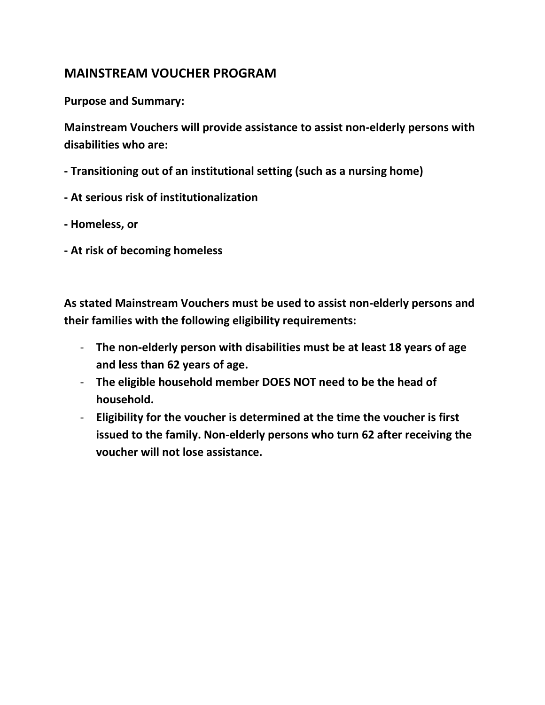## **MAINSTREAM VOUCHER PROGRAM**

**Purpose and Summary:**

**Mainstream Vouchers will provide assistance to assist non-elderly persons with disabilities who are:**

- **- Transitioning out of an institutional setting (such as a nursing home)**
- **- At serious risk of institutionalization**
- **- Homeless, or**
- **- At risk of becoming homeless**

**As stated Mainstream Vouchers must be used to assist non-elderly persons and their families with the following eligibility requirements:**

- **The non-elderly person with disabilities must be at least 18 years of age and less than 62 years of age.**
- **The eligible household member DOES NOT need to be the head of household.**
- **Eligibility for the voucher is determined at the time the voucher is first issued to the family. Non-elderly persons who turn 62 after receiving the voucher will not lose assistance.**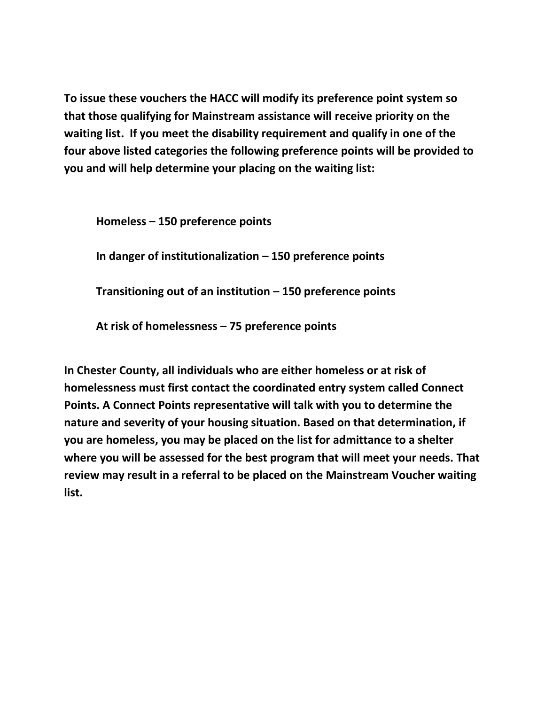**To issue these vouchers the HACC will modify its preference point system so that those qualifying for Mainstream assistance will receive priority on the waiting list. If you meet the disability requirement and qualify in one of the four above listed categories the following preference points will be provided to you and will help determine your placing on the waiting list:**

**Homeless – 150 preference points**

**In danger of institutionalization – 150 preference points**

**Transitioning out of an institution – 150 preference points**

**At risk of homelessness – 75 preference points**

**In Chester County, all individuals who are either homeless or at risk of homelessness must first contact the coordinated entry system called Connect Points. A Connect Points representative will talk with you to determine the nature and severity of your housing situation. Based on that determination, if you are homeless, you may be placed on the list for admittance to a shelter where you will be assessed for the best program that will meet your needs. That review may result in a referral to be placed on the Mainstream Voucher waiting list.**